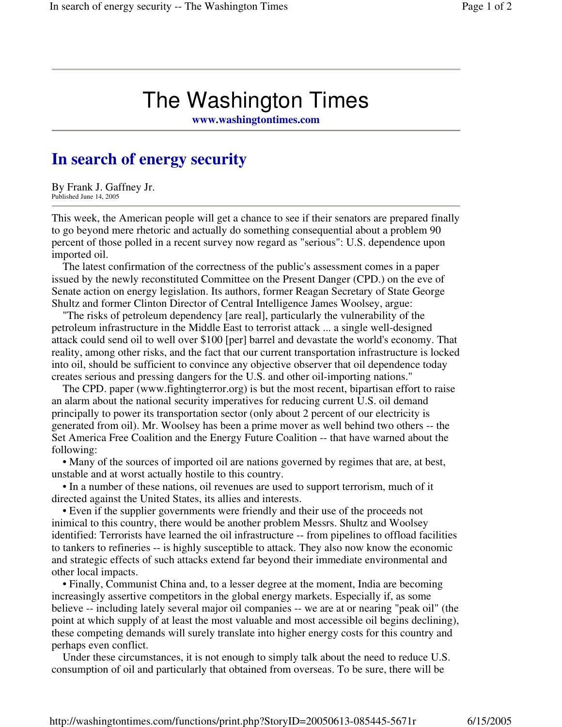## The Washington Times

**www.washingtontimes.com**

## **In search of energy security**

By Frank J. Gaffney Jr. Published June 14, 2005

This week, the American people will get a chance to see if their senators are prepared finally to go beyond mere rhetoric and actually do something consequential about a problem 90 percent of those polled in a recent survey now regard as "serious": U.S. dependence upon imported oil.

The latest confirmation of the correctness of the public's assessment comes in a paper issued by the newly reconstituted Committee on the Present Danger (CPD.) on the eve of Senate action on energy legislation. Its authors, former Reagan Secretary of State George Shultz and former Clinton Director of Central Intelligence James Woolsey, argue:

"The risks of petroleum dependency [are real], particularly the vulnerability of the petroleum infrastructure in the Middle East to terrorist attack ... a single well-designed attack could send oil to well over \$100 [per] barrel and devastate the world's economy. That reality, among other risks, and the fact that our current transportation infrastructure is locked into oil, should be sufficient to convince any objective observer that oil dependence today creates serious and pressing dangers for the U.S. and other oil-importing nations."

The CPD. paper (www.fightingterror.org) is but the most recent, bipartisan effort to raise an alarm about the national security imperatives for reducing current U.S. oil demand principally to power its transportation sector (only about 2 percent of our electricity is generated from oil). Mr. Woolsey has been a prime mover as well behind two others -- the Set America Free Coalition and the Energy Future Coalition -- that have warned about the following:

• Many of the sources of imported oil are nations governed by regimes that are, at best, unstable and at worst actually hostile to this country.

• In a number of these nations, oil revenues are used to support terrorism, much of it directed against the United States, its allies and interests.

• Even if the supplier governments were friendly and their use of the proceeds not inimical to this country, there would be another problem Messrs. Shultz and Woolsey identified: Terrorists have learned the oil infrastructure -- from pipelines to offload facilities to tankers to refineries -- is highly susceptible to attack. They also now know the economic and strategic effects of such attacks extend far beyond their immediate environmental and other local impacts.

• Finally, Communist China and, to a lesser degree at the moment, India are becoming increasingly assertive competitors in the global energy markets. Especially if, as some believe -- including lately several major oil companies -- we are at or nearing "peak oil" (the point at which supply of at least the most valuable and most accessible oil begins declining), these competing demands will surely translate into higher energy costs for this country and perhaps even conflict.

Under these circumstances, it is not enough to simply talk about the need to reduce U.S. consumption of oil and particularly that obtained from overseas. To be sure, there will be